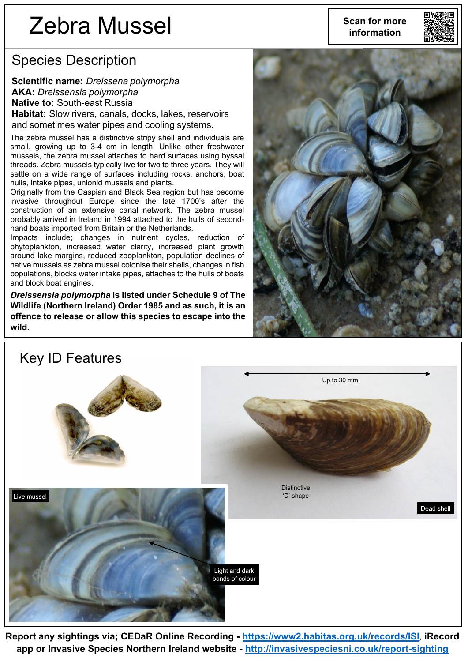# Zebra Mussel

Species Description

**Scientific name:** *Dreissena polymorpha* **AKA:** *Dreissensia polymorpha* **Native to:** South-east Russia

**Habitat:** Slow rivers, canals, docks, lakes, reservoirs and sometimes water pipes and cooling systems.

The zebra mussel has a distinctive stripy shell and individuals are small, growing up to 3-4 cm in length. Unlike other freshwater mussels, the zebra mussel attaches to hard surfaces using byssal threads. Zebra mussels typically live for two to three years. They will settle on a wide range of surfaces including rocks, anchors, boat hulls, intake pipes, unionid mussels and plants.

Originally from the Caspian and Black Sea region but has become invasive throughout Europe since the late 1700's after the construction of an extensive canal network. The zebra mussel probably arrived in Ireland in 1994 attached to the hulls of secondhand boats imported from Britain or the Netherlands.

Impacts include; changes in nutrient cycles, reduction of phytoplankton, increased water clarity, increased plant growth around lake margins, reduced zooplankton, population declines of native mussels as zebra mussel colonise their shells, changes in fish populations, blocks water intake pipes, attaches to the hulls of boats and block boat engines.

*Dreissensia polymorpha* **is listed under Schedule 9 of The Wildlife (Northern Ireland) Order 1985 and as such, it is an offence to release or allow this species to escape into the wild.**





#### Key ID Features



**Report any sightings via; CEDaR Online Recording - <https://www2.habitas.org.uk/records/ISI>**, **iRecord app or Invasive Species Northern Ireland website - <http://invasivespeciesni.co.uk/report-sighting>**

**Scan for more information**